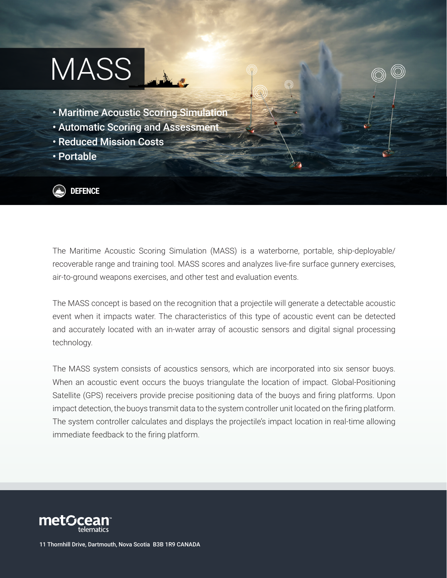# MASS

- Maritime Acoustic Scoring Simulation
- Automatic Scoring and Assessment
- Reduced Mission Costs
- Portable



The Maritime Acoustic Scoring Simulation (MASS) is a waterborne, portable, ship-deployable/ recoverable range and training tool. MASS scores and analyzes live-fire surface gunnery exercises, air-to-ground weapons exercises, and other test and evaluation events.

The MASS concept is based on the recognition that a projectile will generate a detectable acoustic event when it impacts water. The characteristics of this type of acoustic event can be detected and accurately located with an in-water array of acoustic sensors and digital signal processing technology.

The MASS system consists of acoustics sensors, which are incorporated into six sensor buoys. When an acoustic event occurs the buoys triangulate the location of impact. Global-Positioning Satellite (GPS) receivers provide precise positioning data of the buoys and firing platforms. Upon impact detection, the buoys transmit data to the system controller unit located on the firing platform. The system controller calculates and displays the projectile's impact location in real-time allowing immediate feedback to the firing platform.



11 Thornhill Drive, Dartmouth, Nova Scotia B3B 1R9 CANADA